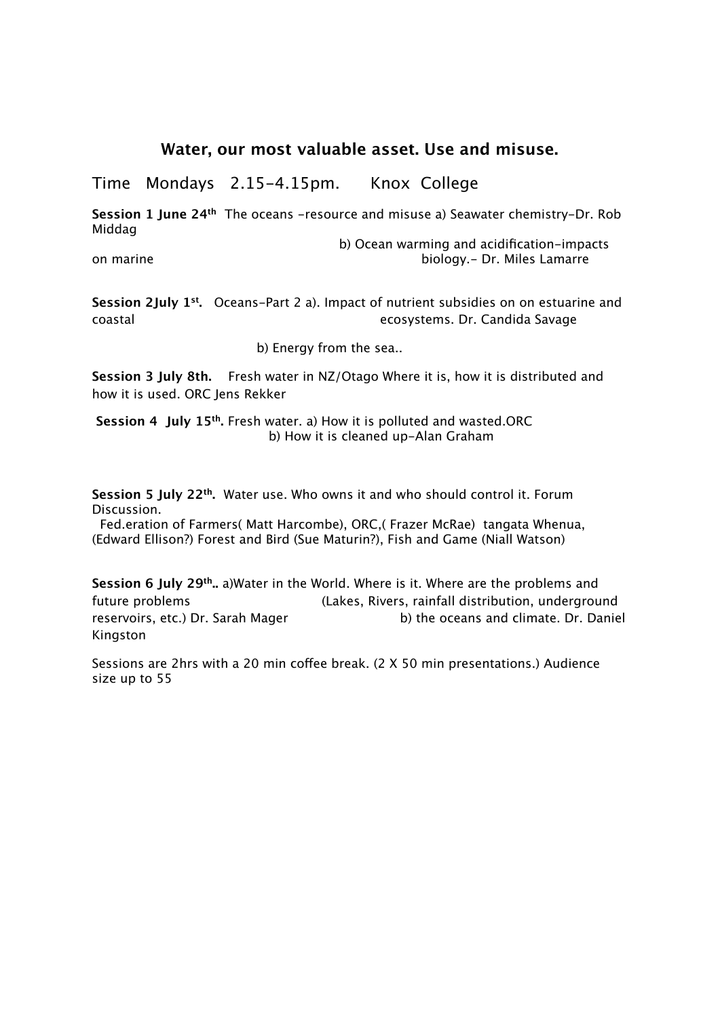## **Water, our most valuable asset. Use and misuse.**

Time Mondays 2.15-4.15pm. Knox College

**Session 1 June 24th** The oceans -resource and misuse a) Seawater chemistry-Dr. Rob Middag

b) Ocean warming and acidification-impacts on marine biology.- Dr. Miles Lamarre

**Session 2July 1st.** Oceans-Part 2 a). Impact of nutrient subsidies on on estuarine and coastal ecosystems. Dr. Candida Savage

b) Energy from the sea..

**Session 3 July 8th.** Fresh water in NZ/Otago Where it is, how it is distributed and how it is used. ORC Jens Rekker

 **Session 4 July 15th.** Fresh water. a) How it is polluted and wasted.ORC b) How it is cleaned up-Alan Graham

**Session 5 July 22th.** Water use. Who owns it and who should control it. Forum Discussion.

 Fed.eration of Farmers( Matt Harcombe), ORC,( Frazer McRae) tangata Whenua, (Edward Ellison?) Forest and Bird (Sue Maturin?), Fish and Game (Niall Watson)

**Session 6 July 29th..** a)Water in the World. Where is it. Where are the problems and future problems (Lakes, Rivers, rainfall distribution, underground reservoirs, etc.) Dr. Sarah Mager b) the oceans and climate. Dr. Daniel Kingston

Sessions are 2hrs with a 20 min coffee break. (2 X 50 min presentations.) Audience size up to 55